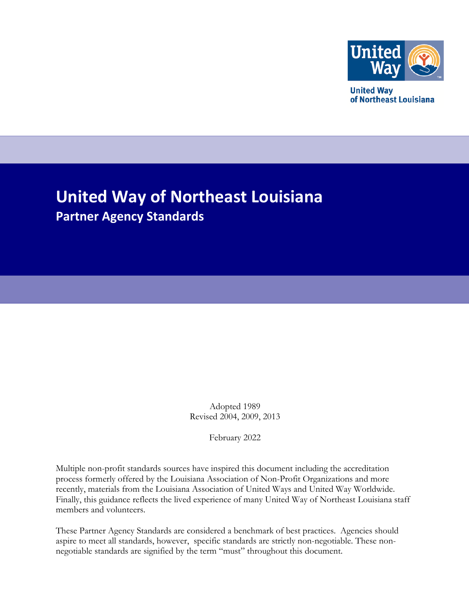

**United Way** of Northeast Louisiana

# **United Way of Northeast Louisiana Partner Agency Standards**

Adopted 1989 Revised 2004, 2009, 2013

February 2022

Multiple non-profit standards sources have inspired this document including the accreditation process formerly offered by the Louisiana Association of Non-Profit Organizations and more recently, materials from the Louisiana Association of United Ways and United Way Worldwide. Finally, this guidance reflects the lived experience of many United Way of Northeast Louisiana staff members and volunteers.

These Partner Agency Standards are considered a benchmark of best practices. Agencies should aspire to meet all standards, however, specific standards are strictly non-negotiable. These nonnegotiable standards are signified by the term "must" throughout this document.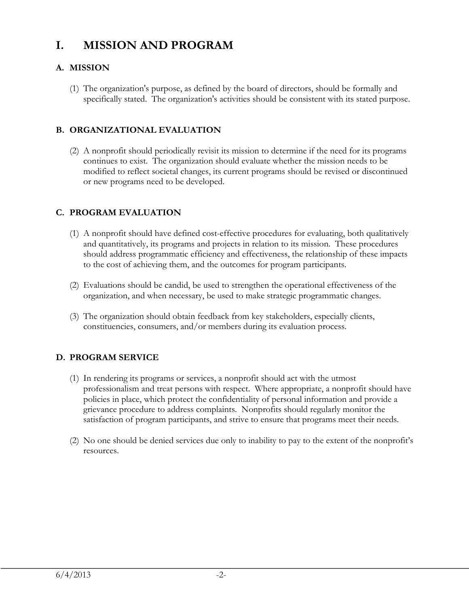### **I. MISSION AND PROGRAM**

#### **A. MISSION**

(1) The organization's purpose, as defined by the board of directors, should be formally and specifically stated. The organization's activities should be consistent with its stated purpose.

#### **B. ORGANIZATIONAL EVALUATION**

(2) A nonprofit should periodically revisit its mission to determine if the need for its programs continues to exist. The organization should evaluate whether the mission needs to be modified to reflect societal changes, its current programs should be revised or discontinued or new programs need to be developed.

#### **C. PROGRAM EVALUATION**

- (1) A nonprofit should have defined cost-effective procedures for evaluating, both qualitatively and quantitatively, its programs and projects in relation to its mission. These procedures should address programmatic efficiency and effectiveness, the relationship of these impacts to the cost of achieving them, and the outcomes for program participants.
- (2) Evaluations should be candid, be used to strengthen the operational effectiveness of the organization, and when necessary, be used to make strategic programmatic changes.
- (3) The organization should obtain feedback from key stakeholders, especially clients, constituencies, consumers, and/or members during its evaluation process.

#### **D. PROGRAM SERVICE**

- (1) In rendering its programs or services, a nonprofit should act with the utmost professionalism and treat persons with respect. Where appropriate, a nonprofit should have policies in place, which protect the confidentiality of personal information and provide a grievance procedure to address complaints. Nonprofits should regularly monitor the satisfaction of program participants, and strive to ensure that programs meet their needs.
- (2) No one should be denied services due only to inability to pay to the extent of the nonprofit's resources.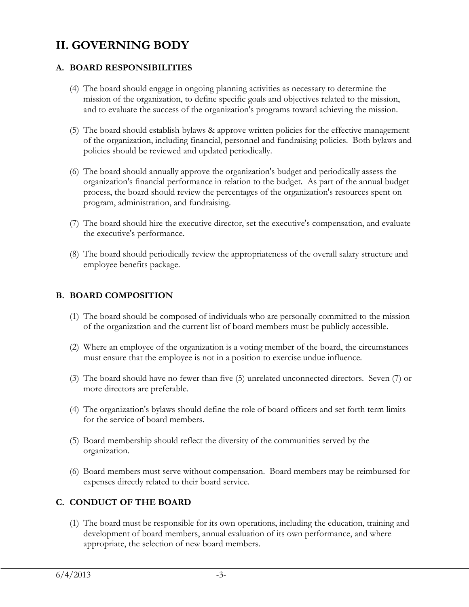## **II. GOVERNING BODY**

#### **A. BOARD RESPONSIBILITIES**

- (4) The board should engage in ongoing planning activities as necessary to determine the mission of the organization, to define specific goals and objectives related to the mission, and to evaluate the success of the organization's programs toward achieving the mission.
- (5) The board should establish bylaws & approve written policies for the effective management of the organization, including financial, personnel and fundraising policies. Both bylaws and policies should be reviewed and updated periodically.
- (6) The board should annually approve the organization's budget and periodically assess the organization's financial performance in relation to the budget. As part of the annual budget process, the board should review the percentages of the organization's resources spent on program, administration, and fundraising.
- (7) The board should hire the executive director, set the executive's compensation, and evaluate the executive's performance.
- (8) The board should periodically review the appropriateness of the overall salary structure and employee benefits package.

#### **B. BOARD COMPOSITION**

- (1) The board should be composed of individuals who are personally committed to the mission of the organization and the current list of board members must be publicly accessible.
- (2) Where an employee of the organization is a voting member of the board, the circumstances must ensure that the employee is not in a position to exercise undue influence.
- (3) The board should have no fewer than five (5) unrelated unconnected directors. Seven (7) or more directors are preferable.
- (4) The organization's bylaws should define the role of board officers and set forth term limits for the service of board members.
- (5) Board membership should reflect the diversity of the communities served by the organization.
- (6) Board members must serve without compensation. Board members may be reimbursed for expenses directly related to their board service.

#### **C. CONDUCT OF THE BOARD**

(1) The board must be responsible for its own operations, including the education, training and development of board members, annual evaluation of its own performance, and where appropriate, the selection of new board members.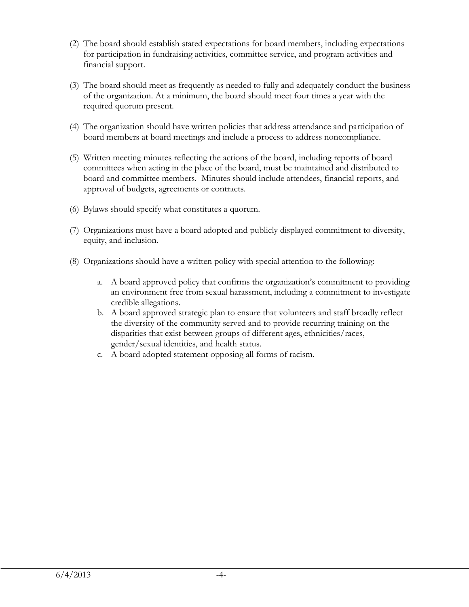- (2) The board should establish stated expectations for board members, including expectations for participation in fundraising activities, committee service, and program activities and financial support.
- (3) The board should meet as frequently as needed to fully and adequately conduct the business of the organization. At a minimum, the board should meet four times a year with the required quorum present.
- (4) The organization should have written policies that address attendance and participation of board members at board meetings and include a process to address noncompliance.
- (5) Written meeting minutes reflecting the actions of the board, including reports of board committees when acting in the place of the board, must be maintained and distributed to board and committee members. Minutes should include attendees, financial reports, and approval of budgets, agreements or contracts.
- (6) Bylaws should specify what constitutes a quorum.
- (7) Organizations must have a board adopted and publicly displayed commitment to diversity, equity, and inclusion.
- (8) Organizations should have a written policy with special attention to the following:
	- a. A board approved policy that confirms the organization's commitment to providing an environment free from sexual harassment, including a commitment to investigate credible allegations.
	- b. A board approved strategic plan to ensure that volunteers and staff broadly reflect the diversity of the community served and to provide recurring training on the disparities that exist between groups of different ages, ethnicities/races, gender/sexual identities, and health status.
	- c. A board adopted statement opposing all forms of racism.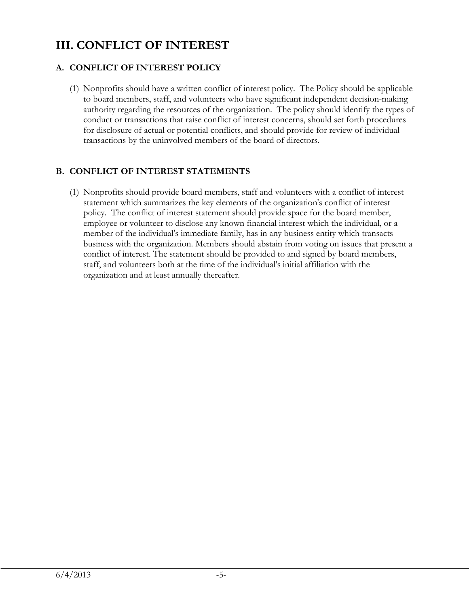# **III. CONFLICT OF INTEREST**

#### **A. CONFLICT OF INTEREST POLICY**

(1) Nonprofits should have a written conflict of interest policy. The Policy should be applicable to board members, staff, and volunteers who have significant independent decision-making authority regarding the resources of the organization. The policy should identify the types of conduct or transactions that raise conflict of interest concerns, should set forth procedures for disclosure of actual or potential conflicts, and should provide for review of individual transactions by the uninvolved members of the board of directors.

#### **B. CONFLICT OF INTEREST STATEMENTS**

(1) Nonprofits should provide board members, staff and volunteers with a conflict of interest statement which summarizes the key elements of the organization's conflict of interest policy. The conflict of interest statement should provide space for the board member, employee or volunteer to disclose any known financial interest which the individual, or a member of the individual's immediate family, has in any business entity which transacts business with the organization. Members should abstain from voting on issues that present a conflict of interest. The statement should be provided to and signed by board members, staff, and volunteers both at the time of the individual's initial affiliation with the organization and at least annually thereafter.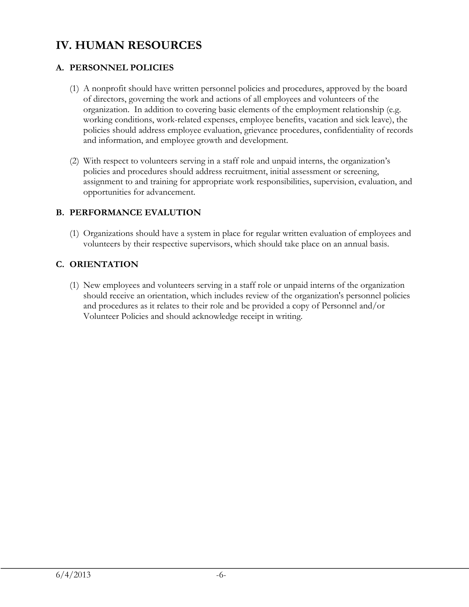# **IV. HUMAN RESOURCES**

#### **A. PERSONNEL POLICIES**

- (1) A nonprofit should have written personnel policies and procedures, approved by the board of directors, governing the work and actions of all employees and volunteers of the organization. In addition to covering basic elements of the employment relationship (e.g. working conditions, work-related expenses, employee benefits, vacation and sick leave), the policies should address employee evaluation, grievance procedures, confidentiality of records and information, and employee growth and development.
- (2) With respect to volunteers serving in a staff role and unpaid interns, the organization's policies and procedures should address recruitment, initial assessment or screening, assignment to and training for appropriate work responsibilities, supervision, evaluation, and opportunities for advancement.

#### **B. PERFORMANCE EVALUTION**

(1) Organizations should have a system in place for regular written evaluation of employees and volunteers by their respective supervisors, which should take place on an annual basis.

#### **C. ORIENTATION**

(1) New employees and volunteers serving in a staff role or unpaid interns of the organization should receive an orientation, which includes review of the organization's personnel policies and procedures as it relates to their role and be provided a copy of Personnel and/or Volunteer Policies and should acknowledge receipt in writing.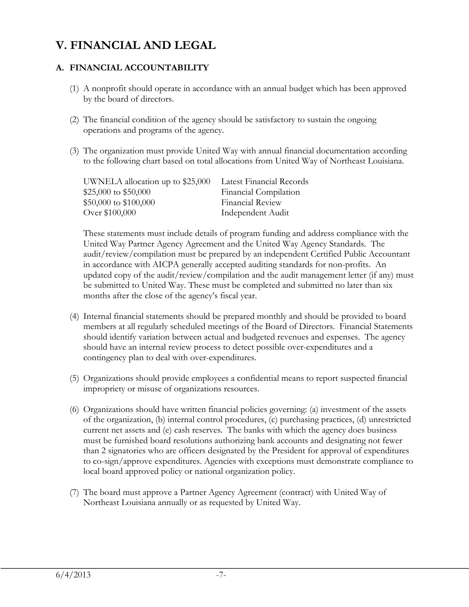### **V. FINANCIAL AND LEGAL**

#### **A. FINANCIAL ACCOUNTABILITY**

- (1) A nonprofit should operate in accordance with an annual budget which has been approved by the board of directors.
- (2) The financial condition of the agency should be satisfactory to sustain the ongoing operations and programs of the agency.
- (3) The organization must provide United Way with annual financial documentation according to the following chart based on total allocations from United Way of Northeast Louisiana.

| UWNELA allocation up to \$25,000 | Latest Financial Records |
|----------------------------------|--------------------------|
| \$25,000 to \$50,000             | Financial Compilation    |
| $$50,000$ to $$100,000$          | <b>Financial Review</b>  |
| Over \$100,000                   | Independent Audit        |

These statements must include details of program funding and address compliance with the United Way Partner Agency Agreement and the United Way Agency Standards. The audit/review/compilation must be prepared by an independent Certified Public Accountant in accordance with AICPA generally accepted auditing standards for non-profits. An updated copy of the audit/review/compilation and the audit management letter (if any) must be submitted to United Way. These must be completed and submitted no later than six months after the close of the agency's fiscal year.

- (4) Internal financial statements should be prepared monthly and should be provided to board members at all regularly scheduled meetings of the Board of Directors. Financial Statements should identify variation between actual and budgeted revenues and expenses. The agency should have an internal review process to detect possible over-expenditures and a contingency plan to deal with over-expenditures.
- (5) Organizations should provide employees a confidential means to report suspected financial impropriety or misuse of organizations resources.
- (6) Organizations should have written financial policies governing: (a) investment of the assets of the organization, (b) internal control procedures, (c) purchasing practices, (d) unrestricted current net assets and (e) cash reserves. The banks with which the agency does business must be furnished board resolutions authorizing bank accounts and designating not fewer than 2 signatories who are officers designated by the President for approval of expenditures to co-sign/approve expenditures. Agencies with exceptions must demonstrate compliance to local board approved policy or national organization policy.
- (7) The board must approve a Partner Agency Agreement (contract) with United Way of Northeast Louisiana annually or as requested by United Way.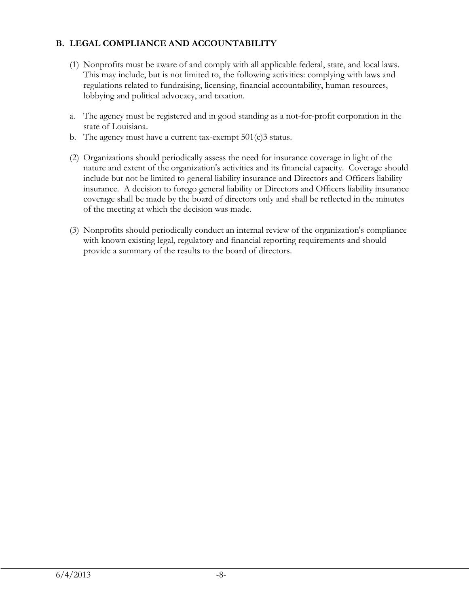#### **B. LEGAL COMPLIANCE AND ACCOUNTABILITY**

- (1) Nonprofits must be aware of and comply with all applicable federal, state, and local laws. This may include, but is not limited to, the following activities: complying with laws and regulations related to fundraising, licensing, financial accountability, human resources, lobbying and political advocacy, and taxation.
- a. The agency must be registered and in good standing as a not-for-profit corporation in the state of Louisiana.
- b. The agency must have a current tax-exempt 501(c)3 status.
- (2) Organizations should periodically assess the need for insurance coverage in light of the nature and extent of the organization's activities and its financial capacity. Coverage should include but not be limited to general liability insurance and Directors and Officers liability insurance. A decision to forego general liability or Directors and Officers liability insurance coverage shall be made by the board of directors only and shall be reflected in the minutes of the meeting at which the decision was made.
- (3) Nonprofits should periodically conduct an internal review of the organization's compliance with known existing legal, regulatory and financial reporting requirements and should provide a summary of the results to the board of directors.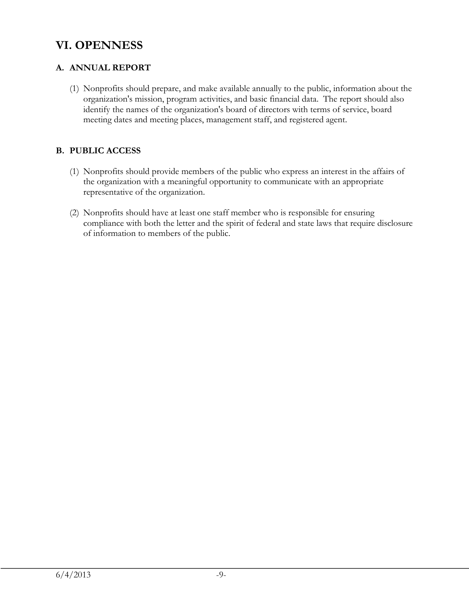### **VI. OPENNESS**

#### **A. ANNUAL REPORT**

(1) Nonprofits should prepare, and make available annually to the public, information about the organization's mission, program activities, and basic financial data. The report should also identify the names of the organization's board of directors with terms of service, board meeting dates and meeting places, management staff, and registered agent.

#### **B. PUBLIC ACCESS**

- (1) Nonprofits should provide members of the public who express an interest in the affairs of the organization with a meaningful opportunity to communicate with an appropriate representative of the organization.
- (2) Nonprofits should have at least one staff member who is responsible for ensuring compliance with both the letter and the spirit of federal and state laws that require disclosure of information to members of the public.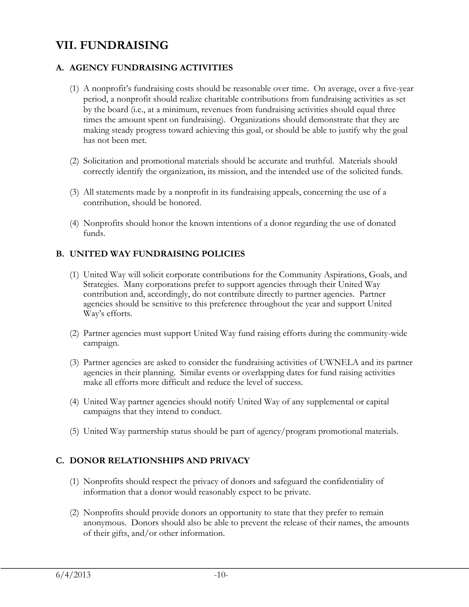### **VII. FUNDRAISING**

#### **A. AGENCY FUNDRAISING ACTIVITIES**

- (1) A nonprofit's fundraising costs should be reasonable over time. On average, over a five-year period, a nonprofit should realize charitable contributions from fundraising activities as set by the board (i.e., at a minimum, revenues from fundraising activities should equal three times the amount spent on fundraising). Organizations should demonstrate that they are making steady progress toward achieving this goal, or should be able to justify why the goal has not been met.
- (2) Solicitation and promotional materials should be accurate and truthful. Materials should correctly identify the organization, its mission, and the intended use of the solicited funds.
- (3) All statements made by a nonprofit in its fundraising appeals, concerning the use of a contribution, should be honored.
- (4) Nonprofits should honor the known intentions of a donor regarding the use of donated funds.

#### **B. UNITED WAY FUNDRAISING POLICIES**

- (1) United Way will solicit corporate contributions for the Community Aspirations, Goals, and Strategies. Many corporations prefer to support agencies through their United Way contribution and, accordingly, do not contribute directly to partner agencies. Partner agencies should be sensitive to this preference throughout the year and support United Way's efforts.
- (2) Partner agencies must support United Way fund raising efforts during the community-wide campaign.
- (3) Partner agencies are asked to consider the fundraising activities of UWNELA and its partner agencies in their planning. Similar events or overlapping dates for fund raising activities make all efforts more difficult and reduce the level of success.
- (4) United Way partner agencies should notify United Way of any supplemental or capital campaigns that they intend to conduct.
- (5) United Way partnership status should be part of agency/program promotional materials.

#### **C. DONOR RELATIONSHIPS AND PRIVACY**

- (1) Nonprofits should respect the privacy of donors and safeguard the confidentiality of information that a donor would reasonably expect to be private.
- (2) Nonprofits should provide donors an opportunity to state that they prefer to remain anonymous. Donors should also be able to prevent the release of their names, the amounts of their gifts, and/or other information.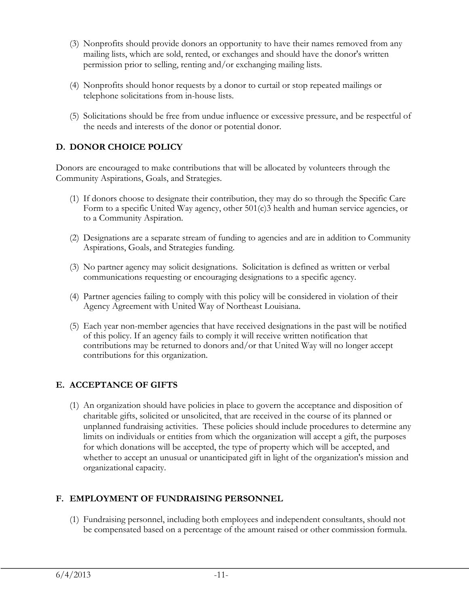- (3) Nonprofits should provide donors an opportunity to have their names removed from any mailing lists, which are sold, rented, or exchanges and should have the donor's written permission prior to selling, renting and/or exchanging mailing lists.
- (4) Nonprofits should honor requests by a donor to curtail or stop repeated mailings or telephone solicitations from in-house lists.
- (5) Solicitations should be free from undue influence or excessive pressure, and be respectful of the needs and interests of the donor or potential donor.

#### **D. DONOR CHOICE POLICY**

Donors are encouraged to make contributions that will be allocated by volunteers through the Community Aspirations, Goals, and Strategies.

- (1) If donors choose to designate their contribution, they may do so through the Specific Care Form to a specific United Way agency, other 501(c)3 health and human service agencies, or to a Community Aspiration.
- (2) Designations are a separate stream of funding to agencies and are in addition to Community Aspirations, Goals, and Strategies funding.
- (3) No partner agency may solicit designations. Solicitation is defined as written or verbal communications requesting or encouraging designations to a specific agency.
- (4) Partner agencies failing to comply with this policy will be considered in violation of their Agency Agreement with United Way of Northeast Louisiana.
- (5) Each year non-member agencies that have received designations in the past will be notified of this policy. If an agency fails to comply it will receive written notification that contributions may be returned to donors and/or that United Way will no longer accept contributions for this organization.

#### **E. ACCEPTANCE OF GIFTS**

(1) An organization should have policies in place to govern the acceptance and disposition of charitable gifts, solicited or unsolicited, that are received in the course of its planned or unplanned fundraising activities. These policies should include procedures to determine any limits on individuals or entities from which the organization will accept a gift, the purposes for which donations will be accepted, the type of property which will be accepted, and whether to accept an unusual or unanticipated gift in light of the organization's mission and organizational capacity.

#### **F. EMPLOYMENT OF FUNDRAISING PERSONNEL**

(1) Fundraising personnel, including both employees and independent consultants, should not be compensated based on a percentage of the amount raised or other commission formula.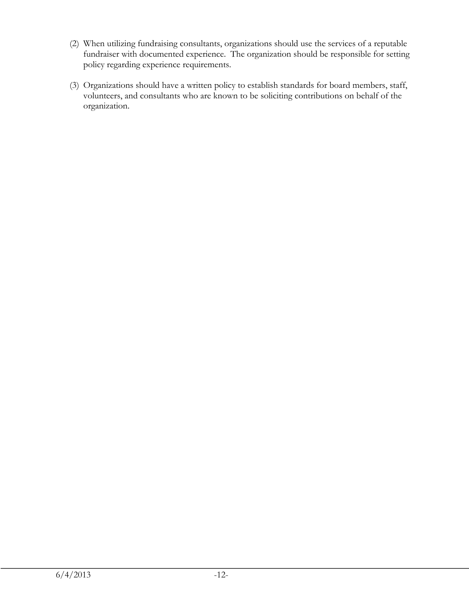- (2) When utilizing fundraising consultants, organizations should use the services of a reputable fundraiser with documented experience. The organization should be responsible for setting policy regarding experience requirements.
- (3) Organizations should have a written policy to establish standards for board members, staff, volunteers, and consultants who are known to be soliciting contributions on behalf of the organization.